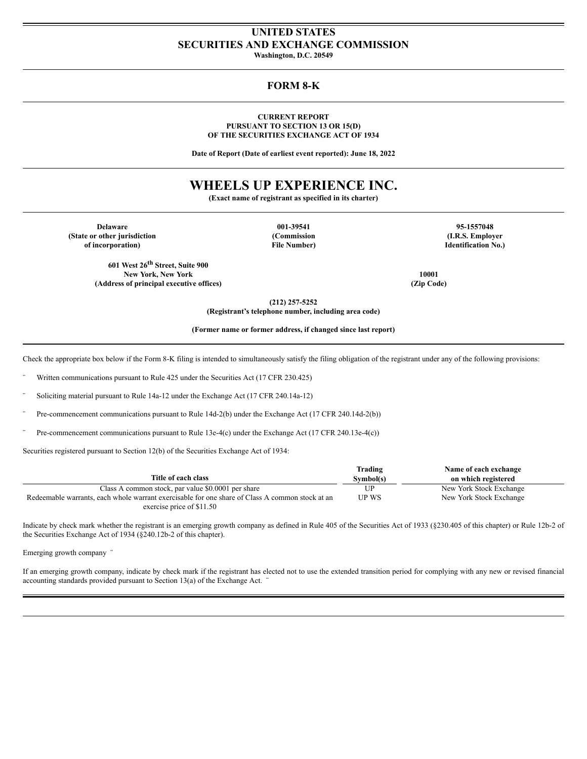## **UNITED STATES SECURITIES AND EXCHANGE COMMISSION**

**Washington, D.C. 20549**

### **FORM 8-K**

#### **CURRENT REPORT PURSUANT TO SECTION 13 OR 15(D) OF THE SECURITIES EXCHANGE ACT OF 1934**

**Date of Report (Date of earliest event reported): June 18, 2022**

# **WHEELS UP EXPERIENCE INC.**

**(Exact name of registrant as specified in its charter)**

**Delaware 001-39541 95-1557048 (State or other jurisdiction (Commission (I.R.S. Employer of incorporation) File Number) Identification No.)**

**601 West 26 th Street, Suite 900 New York, New York 10001 (Address of principal executive offices) (Zip Code)**

**(212) 257-5252**

**(Registrant's telephone number, including area code)**

**(Former name or former address, if changed since last report)**

Check the appropriate box below if the Form 8-K filing is intended to simultaneously satisfy the filing obligation of the registrant under any of the following provisions:

Written communications pursuant to Rule 425 under the Securities Act (17 CFR 230.425)

Soliciting material pursuant to Rule 14a-12 under the Exchange Act (17 CFR 240.14a-12)

Pre-commencement communications pursuant to Rule 14d-2(b) under the Exchange Act (17 CFR 240.14d-2(b))

Pre-commencement communications pursuant to Rule 13e-4(c) under the Exchange Act (17 CFR 240.13e-4(c))

Securities registered pursuant to Section 12(b) of the Securities Exchange Act of 1934:

|                                                                                                 | Trading      | Name of each exchange   |
|-------------------------------------------------------------------------------------------------|--------------|-------------------------|
| Title of each class                                                                             | Symbol(s)    | on which registered     |
| Class A common stock, par value \$0.0001 per share                                              | UP           | New York Stock Exchange |
| Redeemable warrants, each whole warrant exercisable for one share of Class A common stock at an | <b>UP WS</b> | New York Stock Exchange |
| exercise price of \$11.50                                                                       |              |                         |

Indicate by check mark whether the registrant is an emerging growth company as defined in Rule 405 of the Securities Act of 1933 (§230.405 of this chapter) or Rule 12b-2 of the Securities Exchange Act of 1934 (§240.12b-2 of this chapter).

Emerging growth company ¨

If an emerging growth company, indicate by check mark if the registrant has elected not to use the extended transition period for complying with any new or revised financial accounting standards provided pursuant to Section  $13(a)$  of the Exchange Act.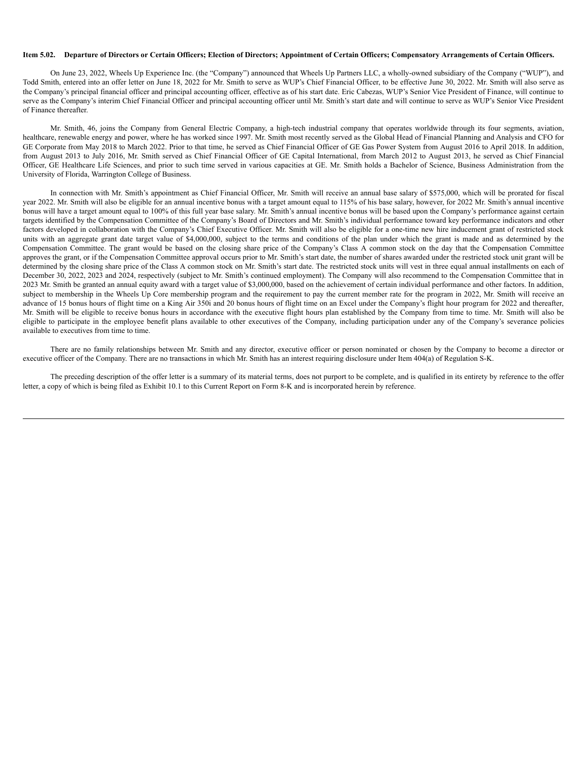#### Item 5.02. Departure of Directors or Certain Officers; Election of Directors; Appointment of Certain Officers; Compensatory Arrangements of Certain Officers.

On June 23, 2022, Wheels Up Experience Inc. (the "Company") announced that Wheels Up Partners LLC, a wholly-owned subsidiary of the Company ("WUP"), and Todd Smith, entered into an offer letter on June 18, 2022 for Mr. Smith to serve as WUP's Chief Financial Officer, to be effective June 30, 2022. Mr. Smith will also serve as the Company's principal financial officer and principal accounting officer, effective as of his start date. Eric Cabezas, WUP's Senior Vice President of Finance, will continue to serve as the Company's interim Chief Financial Officer and principal accounting officer until Mr. Smith's start date and will continue to serve as WUP's Senior Vice President of Finance thereafter.

Mr. Smith, 46, joins the Company from General Electric Company, a high-tech industrial company that operates worldwide through its four segments, aviation, healthcare, renewable energy and power, where he has worked since 1997. Mr. Smith most recently served as the Global Head of Financial Planning and Analysis and CFO for GE Corporate from May 2018 to March 2022. Prior to that time, he served as Chief Financial Officer of GE Gas Power System from August 2016 to April 2018. In addition, from August 2013 to July 2016, Mr. Smith served as Chief Financial Officer of GE Capital International, from March 2012 to August 2013, he served as Chief Financial Officer, GE Healthcare Life Sciences, and prior to such time served in various capacities at GE. Mr. Smith holds a Bachelor of Science, Business Administration from the University of Florida, Warrington College of Business.

In connection with Mr. Smith's appointment as Chief Financial Officer, Mr. Smith will receive an annual base salary of \$575,000, which will be prorated for fiscal year 2022. Mr. Smith will also be eligible for an annual incentive bonus with a target amount equal to 115% of his base salary, however, for 2022 Mr. Smith's annual incentive bonus will have a target amount equal to 100% of this full year base salary. Mr. Smith's annual incentive bonus will be based upon the Company's performance against certain targets identified by the Compensation Committee of the Company's Board of Directors and Mr. Smith's individual performance toward key performance indicators and other factors developed in collaboration with the Company's Chief Executive Officer. Mr. Smith will also be eligible for a one-time new hire inducement grant of restricted stock units with an aggregate grant date target value of \$4,000,000, subject to the terms and conditions of the plan under which the grant is made and as determined by the Compensation Committee. The grant would be based on the closing share price of the Company's Class A common stock on the day that the Compensation Committee approves the grant, or if the Compensation Committee approval occurs prior to Mr. Smith's start date, the number of shares awarded under the restricted stock unit grant will be determined by the closing share price of the Class A common stock on Mr. Smith's start date. The restricted stock units will vest in three equal annual installments on each of December 30, 2022, 2023 and 2024, respectively (subject to Mr. Smith's continued employment). The Company will also recommend to the Compensation Committee that in 2023 Mr. Smith be granted an annual equity award with a target value of \$3,000,000, based on the achievement of certain individual performance and other factors. In addition, subject to membership in the Wheels Up Core membership program and the requirement to pay the current member rate for the program in 2022. Mr. Smith will receive an advance of 15 bonus hours of flight time on a King Air 350i and 20 bonus hours of flight time on an Excel under the Company's flight hour program for 2022 and thereafter, Mr. Smith will be eligible to receive bonus hours in accordance with the executive flight hours plan established by the Company from time to time. Mr. Smith will also be eligible to participate in the employee benefit plans available to other executives of the Company, including participation under any of the Company's severance policies available to executives from time to time.

There are no family relationships between Mr. Smith and any director, executive officer or person nominated or chosen by the Company to become a director or executive officer of the Company. There are no transactions in which Mr. Smith has an interest requiring disclosure under Item 404(a) of Regulation S-K.

The preceding description of the offer letter is a summary of its material terms, does not purport to be complete, and is qualified in its entirety by reference to the offer letter, a copy of which is being filed as Exhibit 10.1 to this Current Report on Form 8-K and is incorporated herein by reference.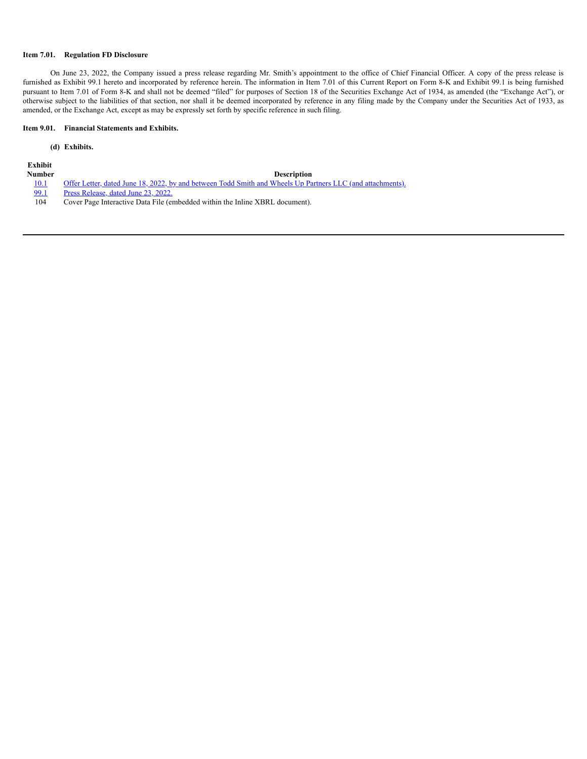#### **Item 7.01. Regulation FD Disclosure**

On June 23, 2022, the Company issued a press release regarding Mr. Smith's appointment to the office of Chief Financial Officer. A copy of the press release is furnished as Exhibit 99.1 hereto and incorporated by reference herein. The information in Item 7.01 of this Current Report on Form 8-K and Exhibit 99.1 is being furnished pursuant to Item 7.01 of Form 8-K and shall not be deemed "filed" for purposes of Section 18 of the Securities Exchange Act of 1934, as amended (the "Exchange Act"), or otherwise subject to the liabilities of that section, nor shall it be deemed incorporated by reference in any filing made by the Company under the Securities Act of 1933, as amended, or the Exchange Act, except as may be expressly set forth by specific reference in such filing.

#### **Item 9.01. Financial Statements and Exhibits.**

#### **(d) Exhibits.**

**Exhibit**

#### **Number Description**

[10.1](https://s3.amazonaws.com/content.stockpr.com/aspl/sec/0001104659-22-073720/for_pdf/tm2219153d1_ex10-1.htm) Offer Letter, dated June 18, 2022, by and between Todd Smith and Wheels Up Partners LLC (and [attachments\).](https://s3.amazonaws.com/content.stockpr.com/aspl/sec/0001104659-22-073720/for_pdf/tm2219153d1_ex10-1.htm)<br>
Press Release, dated June 23, 2022.

- Press [Release,](https://s3.amazonaws.com/content.stockpr.com/aspl/sec/0001104659-22-073720/for_pdf/tm2219153d1_ex99-1.htm) dated June 23, 2022.
- 104 Cover Page Interactive Data File (embedded within the Inline XBRL document).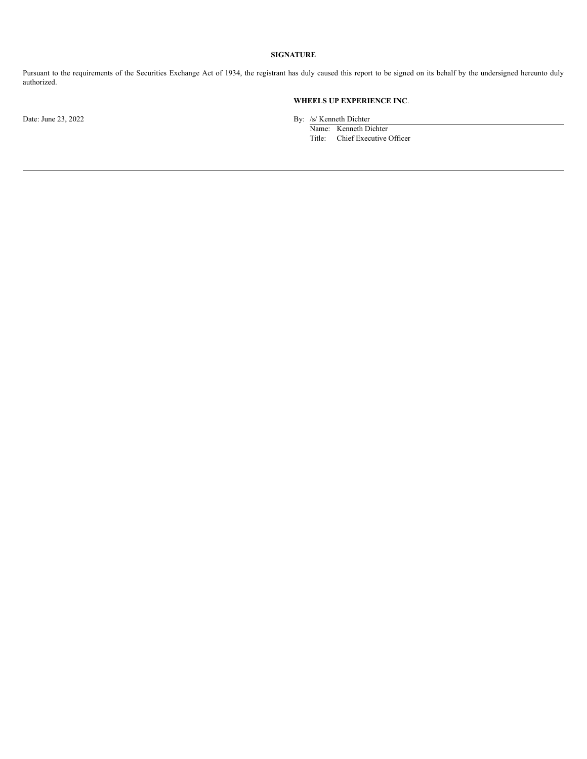### **SIGNATURE**

Pursuant to the requirements of the Securities Exchange Act of 1934, the registrant has duly caused this report to be signed on its behalf by the undersigned hereunto duly authorized.

### **WHEELS UP EXPERIENCE INC**.

Date: June 23, 2022 By: /s/ Kenneth Dichter

Name: Kenneth Dichter Title: Chief Executive Officer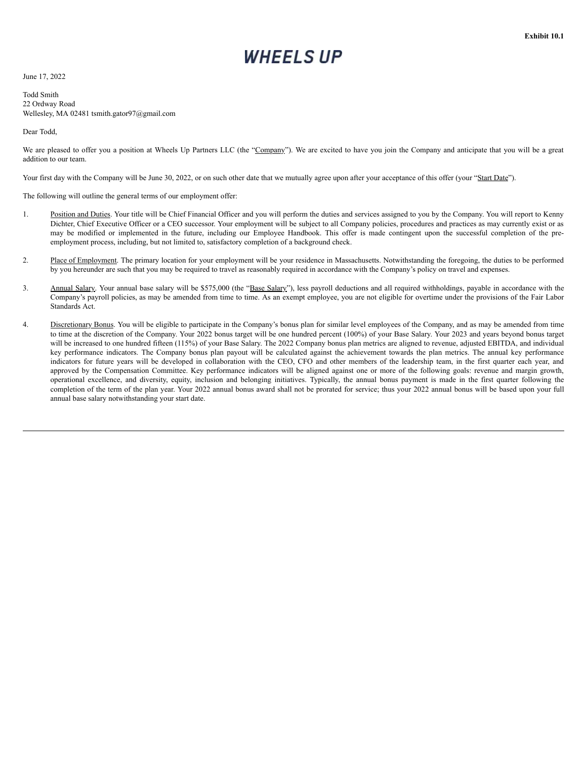June 17, 2022

Todd Smith 22 Ordway Road Wellesley, MA 02481 tsmith.gator97@gmail.com

#### Dear Todd,

We are pleased to offer you a position at Wheels Up Partners LLC (the "Company"). We are excited to have you join the Company and anticipate that you will be a great addition to our team.

Your first day with the Company will be June 30, 2022, or on such other date that we mutually agree upon after your acceptance of this offer (your "Start Date").

The following will outline the general terms of our employment offer:

- 1. Position and Duties. Your title will be Chief Financial Officer and you will perform the duties and services assigned to you by the Company. You will report to Kenny Dichter, Chief Executive Officer or a CEO successor. Your employment will be subject to all Company policies, procedures and practices as may currently exist or as may be modified or implemented in the future, including our Employee Handbook. This offer is made contingent upon the successful completion of the preemployment process, including, but not limited to, satisfactory completion of a background check.
- 2. Place of Employment. The primary location for your employment will be your residence in Massachusetts. Notwithstanding the foregoing, the duties to be performed by you hereunder are such that you may be required to travel as reasonably required in accordance with the Company's policy on travel and expenses.
- 3. Annual Salary. Your annual base salary will be \$575,000 (the "Base Salary"), less payroll deductions and all required withholdings, payable in accordance with the Company's payroll policies, as may be amended from time to time. As an exempt employee, you are not eligible for overtime under the provisions of the Fair Labor Standards Act.
- 4. Discretionary Bonus. You will be eligible to participate in the Company's bonus plan for similar level employees of the Company, and as may be amended from time to time at the discretion of the Company. Your 2022 bonus target will be one hundred percent (100%) of your Base Salary. Your 2023 and years beyond bonus target will be increased to one hundred fifteen (115%) of your Base Salary. The 2022 Company bonus plan metrics are aligned to revenue, adjusted EBITDA, and individual key performance indicators. The Company bonus plan payout will be calculated against the achievement towards the plan metrics. The annual key performance indicators for future years will be developed in collaboration with the CEO, CFO and other members of the leadership team, in the first quarter each year, and approved by the Compensation Committee. Key performance indicators will be aligned against one or more of the following goals: revenue and margin growth, operational excellence, and diversity, equity, inclusion and belonging initiatives. Typically, the annual bonus payment is made in the first quarter following the completion of the term of the plan year. Your 2022 annual bonus award shall not be prorated for service; thus your 2022 annual bonus will be based upon your full annual base salary notwithstanding your start date.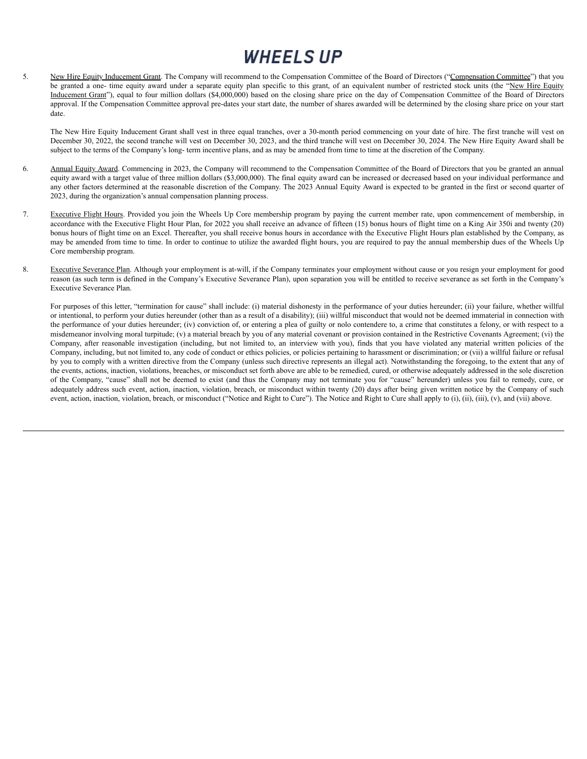5. New Hire Equity Inducement Grant. The Company will recommend to the Compensation Committee of the Board of Directors ("Compensation Committee") that you be granted a one- time equity award under a separate equity plan specific to this grant, of an equivalent number of restricted stock units (the "New Hire Equity Inducement Grant"), equal to four million dollars (\$4,000,000) based on the closing share price on the day of Compensation Committee of the Board of Directors approval. If the Compensation Committee approval pre-dates your start date, the number of shares awarded will be determined by the closing share price on your start date.

The New Hire Equity Inducement Grant shall vest in three equal tranches, over a 30-month period commencing on your date of hire. The first tranche will vest on December 30, 2022, the second tranche will vest on December 30, 2023, and the third tranche will vest on December 30, 2024. The New Hire Equity Award shall be subject to the terms of the Company's long- term incentive plans, and as may be amended from time to time at the discretion of the Company.

- 6. Annual Equity Award. Commencing in 2023, the Company will recommend to the Compensation Committee of the Board of Directors that you be granted an annual equity award with a target value of three million dollars (\$3,000,000). The final equity award can be increased or decreased based on your individual performance and any other factors determined at the reasonable discretion of the Company. The 2023 Annual Equity Award is expected to be granted in the first or second quarter of 2023, during the organization's annual compensation planning process.
- 7. Executive Flight Hours. Provided you join the Wheels Up Core membership program by paying the current member rate, upon commencement of membership, in accordance with the Executive Flight Hour Plan, for 2022 you shall receive an advance of fifteen (15) bonus hours of flight time on a King Air 350i and twenty (20) bonus hours of flight time on an Excel. Thereafter, you shall receive bonus hours in accordance with the Executive Flight Hours plan established by the Company, as may be amended from time to time. In order to continue to utilize the awarded flight hours, you are required to pay the annual membership dues of the Wheels Up Core membership program.
- 8. Executive Severance Plan. Although your employment is at-will, if the Company terminates your employment without cause or you resign your employment for good reason (as such term is defined in the Company's Executive Severance Plan), upon separation you will be entitled to receive severance as set forth in the Company's Executive Severance Plan.

For purposes of this letter, "termination for cause" shall include: (i) material dishonesty in the performance of your duties hereunder; (ii) your failure, whether willful or intentional, to perform your duties hereunder (other than as a result of a disability); (iii) willful misconduct that would not be deemed immaterial in connection with the performance of your duties hereunder; (iv) conviction of, or entering a plea of guilty or nolo contendere to, a crime that constitutes a felony, or with respect to a misdemeanor involving moral turpitude; (v) a material breach by you of any material covenant or provision contained in the Restrictive Covenants Agreement; (vi) the Company, after reasonable investigation (including, but not limited to, an interview with you), finds that you have violated any material written policies of the Company, including, but not limited to, any code of conduct or ethics policies, or policies pertaining to harassment or discrimination; or (vii) a willful failure or refusal by you to comply with a written directive from the Company (unless such directive represents an illegal act). Notwithstanding the foregoing, to the extent that any of the events, actions, inaction, violations, breaches, or misconduct set forth above are able to be remedied, cured, or otherwise adequately addressed in the sole discretion of the Company, "cause" shall not be deemed to exist (and thus the Company may not terminate you for "cause" hereunder) unless you fail to remedy, cure, or adequately address such event, action, inaction, violation, breach, or misconduct within twenty (20) days after being given written notice by the Company of such event, action, inaction, violation, breach, or misconduct ("Notice and Right to Cure"). The Notice and Right to Cure shall apply to (i), (ii), (iii), (v), and (vii) above.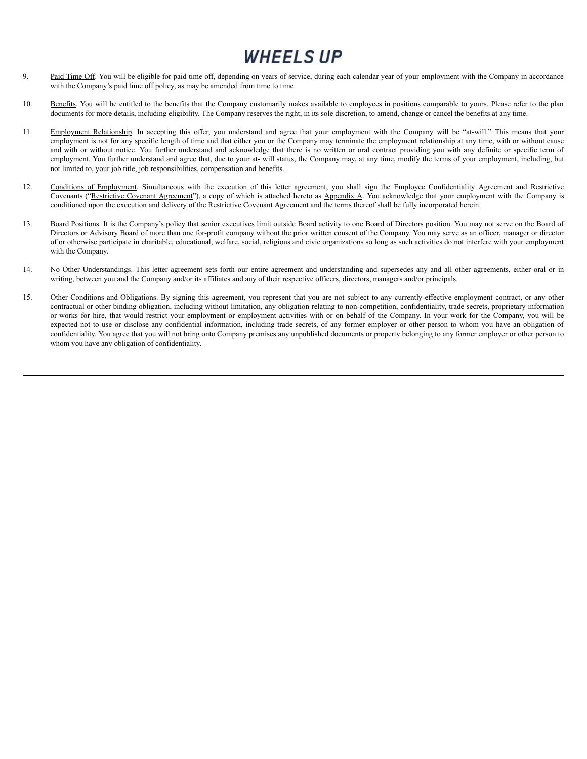- 9. Paid Time Off. You will be eligible for paid time off, depending on years of service, during each calendar year of your employment with the Company in accordance with the Company's paid time off policy, as may be amended from time to time.
- 10. Benefits. You will be entitled to the benefits that the Company customarily makes available to employees in positions comparable to yours. Please refer to the plan documents for more details, including eligibility. The Company reserves the right, in its sole discretion, to amend, change or cancel the benefits at any time.
- 11. Employment Relationship. In accepting this offer, you understand and agree that your employment with the Company will be "at-will." This means that your employment is not for any specific length of time and that either you or the Company may terminate the employment relationship at any time, with or without cause and with or without notice. You further understand and acknowledge that there is no written or oral contract providing you with any definite or specific term of employment. You further understand and agree that, due to your at- will status, the Company may, at any time, modify the terms of your employment, including, but not limited to, your job title, job responsibilities, compensation and benefits.
- 12. Conditions of Employment. Simultaneous with the execution of this letter agreement, you shall sign the Employee Confidentiality Agreement and Restrictive Covenants ("Restrictive Covenant Agreement"), a copy of which is attached hereto as Appendix A. You acknowledge that your employment with the Company is conditioned upon the execution and delivery of the Restrictive Covenant Agreement and the terms thereof shall be fully incorporated herein.
- 13. Board Positions. It is the Company's policy that senior executives limit outside Board activity to one Board of Directors position. You may not serve on the Board of Directors or Advisory Board of more than one for-profit company without the prior written consent of the Company. You may serve as an officer, manager or director of or otherwise participate in charitable, educational, welfare, social, religious and civic organizations so long as such activities do not interfere with your employment with the Company.
- 14. No Other Understandings. This letter agreement sets forth our entire agreement and understanding and supersedes any and all other agreements, either oral or in writing, between you and the Company and/or its affiliates and any of their respective officers, directors, managers and/or principals.
- 15. Other Conditions and Obligations. By signing this agreement, you represent that you are not subject to any currently-effective employment contract, or any other contractual or other binding obligation, including without limitation, any obligation relating to non-competition, confidentiality, trade secrets, proprietary information or works for hire, that would restrict your employment or employment activities with or on behalf of the Company. In your work for the Company, you will be expected not to use or disclose any confidential information, including trade secrets, of any former employer or other person to whom you have an obligation of confidentiality. You agree that you will not bring onto Company premises any unpublished documents or property belonging to any former employer or other person to whom you have any obligation of confidentiality.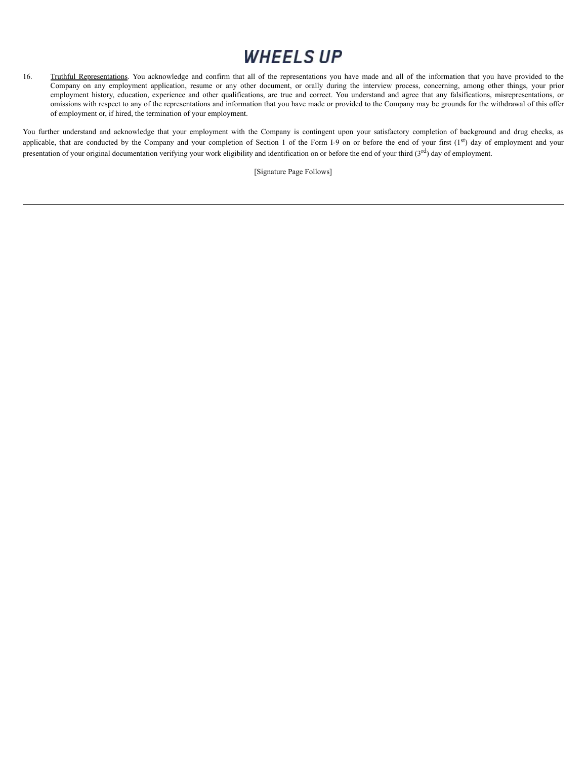16. Truthful Representations. You acknowledge and confirm that all of the representations you have made and all of the information that you have provided to the Company on any employment application, resume or any other document, or orally during the interview process, concerning, among other things, your prior employment history, education, experience and other qualifications, are true and correct. You understand and agree that any falsifications, misrepresentations, or omissions with respect to any of the representations and information that you have made or provided to the Company may be grounds for the withdrawal of this offer of employment or, if hired, the termination of your employment.

You further understand and acknowledge that your employment with the Company is contingent upon your satisfactory completion of background and drug checks, as applicable, that are conducted by the Company and your completion of Section 1 of the Form I-9 on or before the end of your first  $(1<sup>st</sup>)$  day of employment and your presentation of your original documentation verifying your work eligibility and identification on or before the end of your third  $(3<sup>rd</sup>)$  day of employment.

[Signature Page Follows]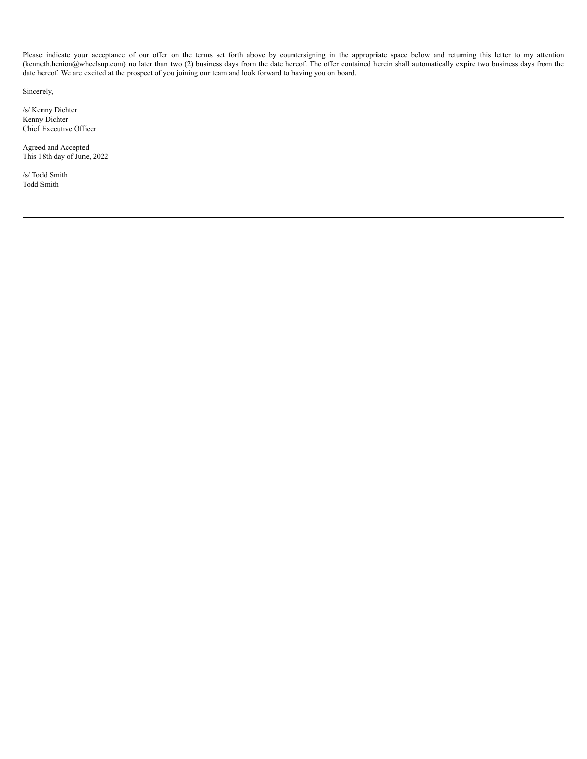Please indicate your acceptance of our offer on the terms set forth above by countersigning in the appropriate space below and returning this letter to my attention (kenneth.henion@wheelsup.com) no later than two (2) business days from the date hereof. The offer contained herein shall automatically expire two business days from the date hereof. We are excited at the prospect of you joining our team and look forward to having you on board.

Sincerely,

/s/ Kenny Dichter Kenny Dichter Chief Executive Officer

Agreed and Accepted This 18th day of June, 2022

/s/ Todd Smith Todd Smith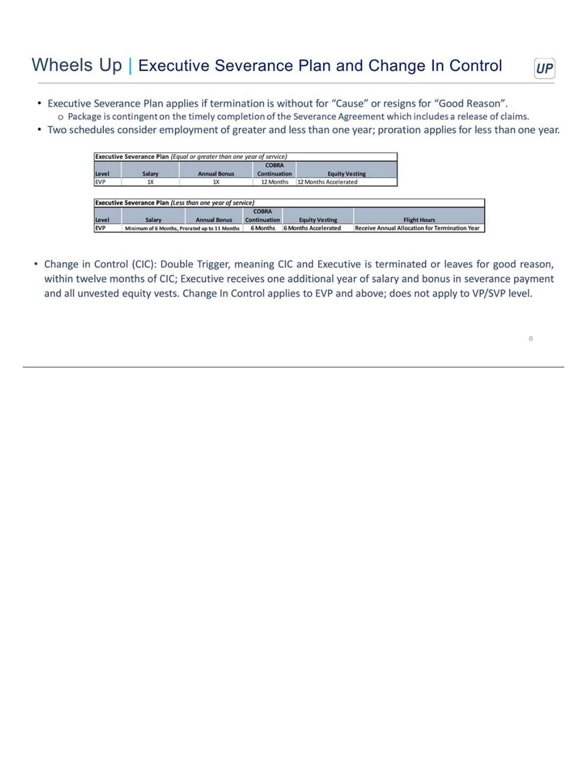# Wheels Up | Executive Severance Plan and Change In Control



- Executive Severance Plan applies if termination is without for "Cause" or resigns for "Good Reason". o Package is contingent on the timely completion of the Severance Agreement which includes a release of claims.
- Two schedules consider employment of greater and less than one year; proration applies for less than one year.

| Level | Salary | <b>Annual Bonus</b>                                             | <b>COBRA</b><br><b>Continuation</b> | <b>Equity Vesting</b> |                     |
|-------|--------|-----------------------------------------------------------------|-------------------------------------|-----------------------|---------------------|
| EVP   | 1X     | 1X                                                              | 12 Months                           | 12 Months Accelerated |                     |
|       |        |                                                                 |                                     |                       |                     |
|       |        | <b>Executive Severance Plan (Less than one year of service)</b> |                                     |                       |                     |
|       |        |                                                                 | <b>COBRA</b>                        |                       |                     |
| Level | Salary | <b>Annual Bonus</b>                                             | <b>Continuation</b>                 | <b>Equity Vesting</b> | <b>Flight Hours</b> |

• Change in Control (CIC): Double Trigger, meaning CIC and Executive is terminated or leaves for good reason, within twelve months of CIC; Executive receives one additional year of salary and bonus in severance payment and all unvested equity vests. Change In Control applies to EVP and above; does not apply to VP/SVP level.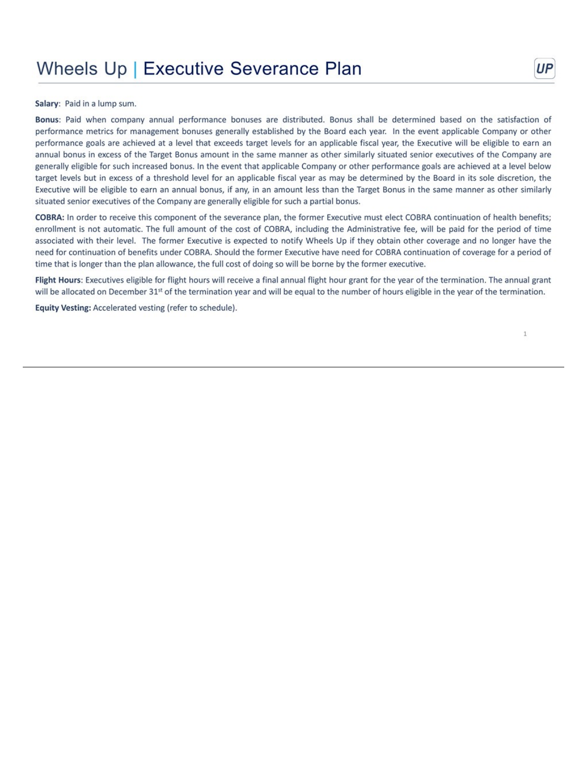UР

Salary: Paid in a lump sum.

Bonus: Paid when company annual performance bonuses are distributed. Bonus shall be determined based on the satisfaction of performance metrics for management bonuses generally established by the Board each year. In the event applicable Company or other performance goals are achieved at a level that exceeds target levels for an applicable fiscal year, the Executive will be eligible to earn an annual bonus in excess of the Target Bonus amount in the same manner as other similarly situated senior executives of the Company are generally eligible for such increased bonus. In the event that applicable Company or other performance goals are achieved at a level below target levels but in excess of a threshold level for an applicable fiscal year as may be determined by the Board in its sole discretion, the Executive will be eligible to earn an annual bonus, if any, in an amount less than the Target Bonus in the same manner as other similarly situated senior executives of the Company are generally eligible for such a partial bonus.

COBRA: In order to receive this component of the severance plan, the former Executive must elect COBRA continuation of health benefits; enrollment is not automatic. The full amount of the cost of COBRA, including the Administrative fee, will be paid for the period of time associated with their level. The former Executive is expected to notify Wheels Up if they obtain other coverage and no longer have the need for continuation of benefits under COBRA. Should the former Executive have need for COBRA continuation of coverage for a period of time that is longer than the plan allowance, the full cost of doing so will be borne by the former executive.

Flight Hours: Executives eligible for flight hours will receive a final annual flight hour grant for the year of the termination. The annual grant will be allocated on December 31<sup>st</sup> of the termination year and will be equal to the number of hours eligible in the year of the termination.

Equity Vesting: Accelerated vesting (refer to schedule).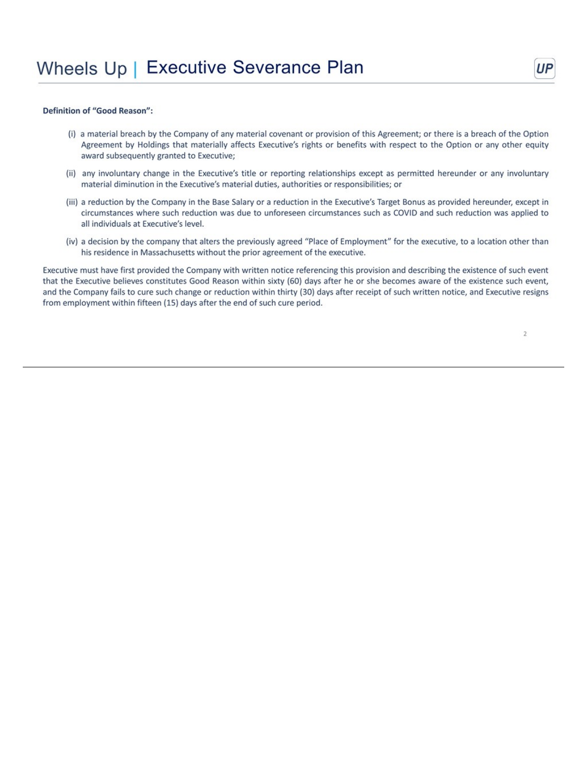### Definition of "Good Reason":

- (i) a material breach by the Company of any material covenant or provision of this Agreement; or there is a breach of the Option Agreement by Holdings that materially affects Executive's rights or benefits with respect to the Option or any other equity award subsequently granted to Executive;
- (ii) any involuntary change in the Executive's title or reporting relationships except as permitted hereunder or any involuntary material diminution in the Executive's material duties, authorities or responsibilities; or
- (iii) a reduction by the Company in the Base Salary or a reduction in the Executive's Target Bonus as provided hereunder, except in circumstances where such reduction was due to unforeseen circumstances such as COVID and such reduction was applied to all individuals at Executive's level.
- (iv) a decision by the company that alters the previously agreed "Place of Employment" for the executive, to a location other than his residence in Massachusetts without the prior agreement of the executive.

Executive must have first provided the Company with written notice referencing this provision and describing the existence of such event that the Executive believes constitutes Good Reason within sixty (60) days after he or she becomes aware of the existence such event, and the Company fails to cure such change or reduction within thirty (30) days after receipt of such written notice, and Executive resigns from employment within fifteen (15) days after the end of such cure period.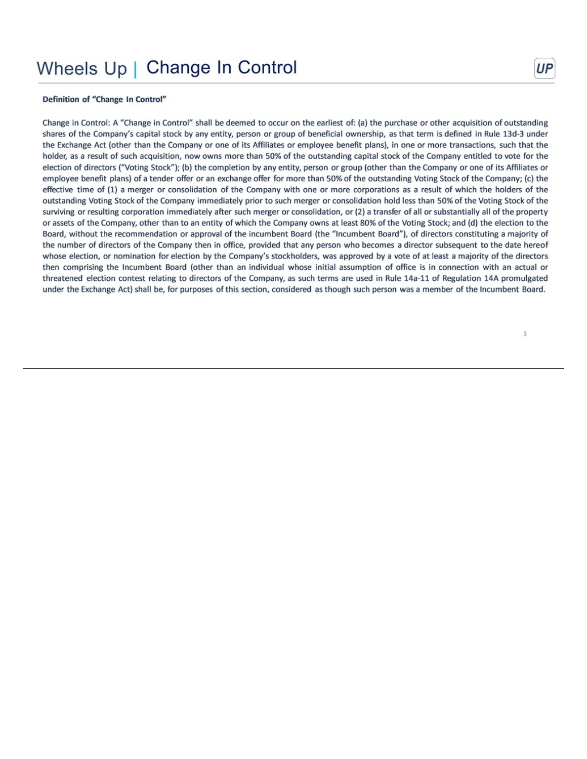# Wheels Up | Change In Control

### Definition of "Change In Control"

Change in Control: A "Change in Control" shall be deemed to occur on the earliest of: (a) the purchase or other acquisition of outstanding shares of the Company's capital stock by any entity, person or group of beneficial ownership, as that term is defined in Rule 13d-3 under the Exchange Act (other than the Company or one of its Affiliates or employee benefit plans), in one or more transactions, such that the holder, as a result of such acquisition, now owns more than 50% of the outstanding capital stock of the Company entitled to vote for the election of directors ("Voting Stock"); (b) the completion by any entity, person or group (other than the Company or one of its Affiliates or employee benefit plans) of a tender offer or an exchange offer for more than 50% of the outstanding Voting Stock of the Company; (c) the effective time of (1) a merger or consolidation of the Company with one or more corporations as a result of which the holders of the outstanding Voting Stock of the Company immediately prior to such merger or consolidation hold less than 50% of the Voting Stock of the surviving or resulting corporation immediately after such merger or consolidation, or (2) a transfer of all or substantially all of the property or assets of the Company, other than to an entity of which the Company owns at least 80% of the Voting Stock; and (d) the election to the Board, without the recommendation or approval of the incumbent Board (the "Incumbent Board"), of directors constituting a majority of the number of directors of the Company then in office, provided that any person who becomes a director subsequent to the date hereof whose election, or nomination for election by the Company's stockholders, was approved by a vote of at least a majority of the directors then comprising the Incumbent Board (other than an individual whose initial assumption of office is in connection with an actual or threatened election contest relating to directors of the Company, as such terms are used in Rule 14a-11 of Regulation 14A promulgated under the Exchange Act) shall be, for purposes of this section, considered as though such person was a member of the Incumbent Board.

UР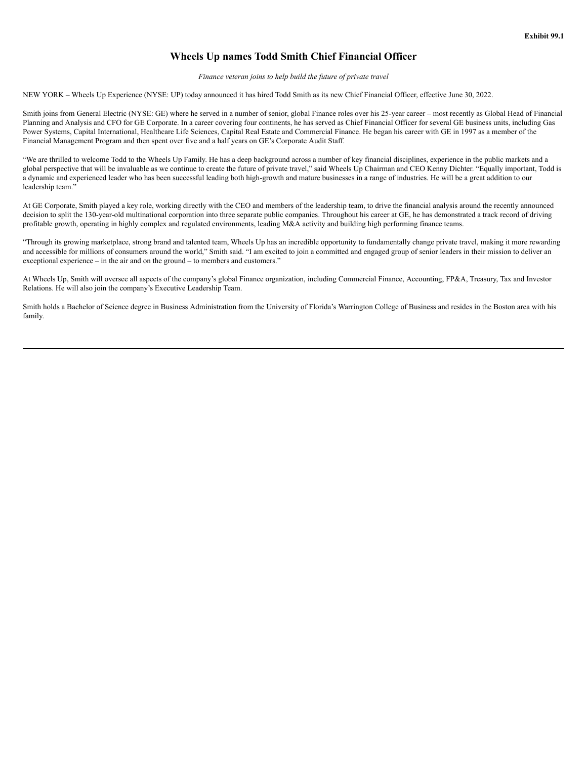### **Wheels Up names Todd Smith Chief Financial Officer**

*Finance veteran joins to help build the future of private travel*

NEW YORK – Wheels Up Experience (NYSE: UP) today announced it has hired Todd Smith as its new Chief Financial Officer, effective June 30, 2022.

Smith joins from General Electric (NYSE: GE) where he served in a number of senior, global Finance roles over his 25-year career – most recently as Global Head of Financial Planning and Analysis and CFO for GE Corporate. In a career covering four continents, he has served as Chief Financial Officer for several GE business units, including Gas Power Systems, Capital International, Healthcare Life Sciences, Capital Real Estate and Commercial Finance. He began his career with GE in 1997 as a member of the Financial Management Program and then spent over five and a half years on GE's Corporate Audit Staff.

"We are thrilled to welcome Todd to the Wheels Up Family. He has a deep background across a number of key financial disciplines, experience in the public markets and a global perspective that will be invaluable as we continue to create the future of private travel," said Wheels Up Chairman and CEO Kenny Dichter. "Equally important, Todd is a dynamic and experienced leader who has been successful leading both high-growth and mature businesses in a range of industries. He will be a great addition to our leadership team."

At GE Corporate, Smith played a key role, working directly with the CEO and members of the leadership team, to drive the financial analysis around the recently announced decision to split the 130-year-old multinational corporation into three separate public companies. Throughout his career at GE, he has demonstrated a track record of driving profitable growth, operating in highly complex and regulated environments, leading M&A activity and building high performing finance teams.

"Through its growing marketplace, strong brand and talented team, Wheels Up has an incredible opportunity to fundamentally change private travel, making it more rewarding and accessible for millions of consumers around the world," Smith said. "I am excited to join a committed and engaged group of senior leaders in their mission to deliver an exceptional experience – in the air and on the ground – to members and customers."

At Wheels Up, Smith will oversee all aspects of the company's global Finance organization, including Commercial Finance, Accounting, FP&A, Treasury, Tax and Investor Relations. He will also join the company's Executive Leadership Team.

Smith holds a Bachelor of Science degree in Business Administration from the University of Florida's Warrington College of Business and resides in the Boston area with his family.